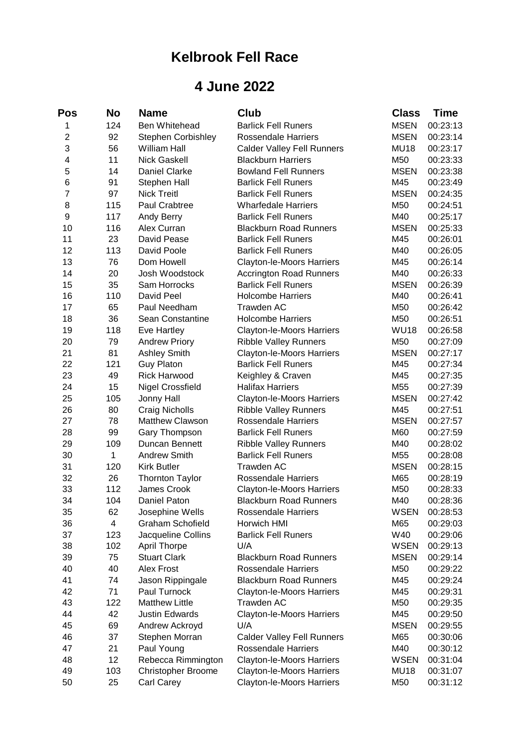## **Kelbrook Fell Race**

## **4 June 2022**

| Pos            | No       | Name                      | <b>Club</b>                                                     | <b>Class</b> | <b>Time</b>          |
|----------------|----------|---------------------------|-----------------------------------------------------------------|--------------|----------------------|
| 1              | 124      | Ben Whitehead             | <b>Barlick Fell Runers</b>                                      | <b>MSEN</b>  | 00:23:13             |
| $\overline{2}$ | 92       | <b>Stephen Corbishley</b> | <b>Rossendale Harriers</b>                                      | <b>MSEN</b>  | 00:23:14             |
| 3              | 56       | <b>William Hall</b>       | <b>Calder Valley Fell Runners</b>                               | <b>MU18</b>  | 00:23:17             |
| 4              | 11       | <b>Nick Gaskell</b>       | <b>Blackburn Harriers</b>                                       | M50          | 00:23:33             |
| 5              | 14       | <b>Daniel Clarke</b>      | <b>Bowland Fell Runners</b>                                     | <b>MSEN</b>  | 00:23:38             |
| 6              | 91       | Stephen Hall              | <b>Barlick Fell Runers</b>                                      | M45          | 00:23:49             |
| 7              | 97       | <b>Nick Treitl</b>        | <b>Barlick Fell Runers</b>                                      | <b>MSEN</b>  | 00:24:35             |
| 8              | 115      | Paul Crabtree             | <b>Wharfedale Harriers</b>                                      | M50          | 00:24:51             |
| 9              | 117      | Andy Berry                | <b>Barlick Fell Runers</b>                                      | M40          | 00:25:17             |
| 10             | 116      | Alex Curran               | <b>Blackburn Road Runners</b>                                   | <b>MSEN</b>  | 00:25:33             |
| 11             | 23       | David Pease               | <b>Barlick Fell Runers</b>                                      | M45          | 00:26:01             |
| 12             | 113      | David Poole               | <b>Barlick Fell Runers</b>                                      | M40          | 00:26:05             |
| 13             | 76       | Dom Howell                | Clayton-le-Moors Harriers                                       | M45          | 00:26:14             |
| 14             | 20       | Josh Woodstock            | <b>Accrington Road Runners</b>                                  | M40          | 00:26:33             |
| 15             | 35       | Sam Horrocks              | <b>Barlick Fell Runers</b>                                      | <b>MSEN</b>  | 00:26:39             |
| 16             | 110      | David Peel                | <b>Holcombe Harriers</b>                                        | M40          | 00:26:41             |
| 17             | 65       | Paul Needham              | <b>Trawden AC</b>                                               | M50          | 00:26:42             |
| 18             | 36       | Sean Constantine          | <b>Holcombe Harriers</b>                                        | M50          | 00:26:51             |
| 19             | 118      | Eve Hartley               | Clayton-le-Moors Harriers                                       | <b>WU18</b>  | 00:26:58             |
| 20             | 79       | <b>Andrew Priory</b>      | <b>Ribble Valley Runners</b>                                    | M50          | 00:27:09             |
| 21             | 81       | <b>Ashley Smith</b>       | Clayton-le-Moors Harriers                                       | <b>MSEN</b>  | 00:27:17             |
| 22             | 121      | <b>Guy Platon</b>         | <b>Barlick Fell Runers</b>                                      | M45          | 00:27:34             |
| 23             | 49       | <b>Rick Harwood</b>       | Keighley & Craven                                               | M45          | 00:27:35             |
| 24             | 15       | <b>Nigel Crossfield</b>   | <b>Halifax Harriers</b>                                         | M55          | 00:27:39             |
| 25             | 105      | Jonny Hall                | Clayton-le-Moors Harriers                                       | <b>MSEN</b>  | 00:27:42             |
| 26             | 80       | Craig Nicholls            | <b>Ribble Valley Runners</b>                                    | M45          | 00:27:51             |
| 27             | 78       | Matthew Clawson           | <b>Rossendale Harriers</b>                                      | <b>MSEN</b>  | 00:27:57             |
| 28             | 99       | Gary Thompson             | <b>Barlick Fell Runers</b>                                      | M60          | 00:27:59             |
| 29             | 109      | Duncan Bennett            | <b>Ribble Valley Runners</b>                                    | M40          | 00:28:02             |
| 30             | 1        | <b>Andrew Smith</b>       | <b>Barlick Fell Runers</b>                                      | M55          | 00:28:08             |
| 31             | 120      | <b>Kirk Butler</b>        | <b>Trawden AC</b>                                               | <b>MSEN</b>  | 00:28:15             |
| 32             | 26       | <b>Thornton Taylor</b>    | <b>Rossendale Harriers</b>                                      | M65          | 00:28:19             |
| 33             | 112      | James Crook               | <b>Clayton-le-Moors Harriers</b>                                | M50          | 00:28:33             |
| 34             | 104      | Daniel Paton              | <b>Blackburn Road Runners</b>                                   | M40          | 00:28:36             |
| 35             | 62       | Josephine Wells           | Rossendale Harriers                                             | <b>WSEN</b>  | 00:28:53             |
| 36             | 4        | <b>Graham Schofield</b>   | Horwich HMI                                                     | M65          | 00:29:03             |
| 37             | 123      | Jacqueline Collins        | <b>Barlick Fell Runers</b>                                      | W40          | 00:29:06             |
| 38             | 102      | <b>April Thorpe</b>       | U/A                                                             | <b>WSEN</b>  | 00:29:13             |
| 39             | 75       | <b>Stuart Clark</b>       | <b>Blackburn Road Runners</b>                                   | <b>MSEN</b>  | 00:29:14             |
| 40             | 40       | Alex Frost                | <b>Rossendale Harriers</b>                                      | M50          | 00:29:22             |
| 41             | 74       | Jason Rippingale          | <b>Blackburn Road Runners</b>                                   | M45          | 00:29:24             |
| 42             | 71       | Paul Turnock              | <b>Clayton-le-Moors Harriers</b>                                | M45          | 00:29:31             |
| 43             | 122      | <b>Matthew Little</b>     | <b>Trawden AC</b>                                               | M50          | 00:29:35             |
| 44             | 42       | <b>Justin Edwards</b>     |                                                                 |              |                      |
|                |          |                           | Clayton-le-Moors Harriers                                       | M45          | 00:29:50             |
| 45             | 69       | Andrew Ackroyd            | U/A                                                             | <b>MSEN</b>  | 00:29:55             |
| 46<br>47       | 37<br>21 | Stephen Morran            | <b>Calder Valley Fell Runners</b><br><b>Rossendale Harriers</b> | M65<br>M40   | 00:30:06<br>00:30:12 |
| 48             | 12       | Paul Young                |                                                                 | <b>WSEN</b>  |                      |
| 49             | 103      | Rebecca Rimmington        | <b>Clayton-le-Moors Harriers</b>                                | <b>MU18</b>  | 00:31:04<br>00:31:07 |
|                |          | Christopher Broome        | Clayton-le-Moors Harriers                                       |              |                      |
| 50             | 25       | Carl Carey                | Clayton-le-Moors Harriers                                       | M50          | 00:31:12             |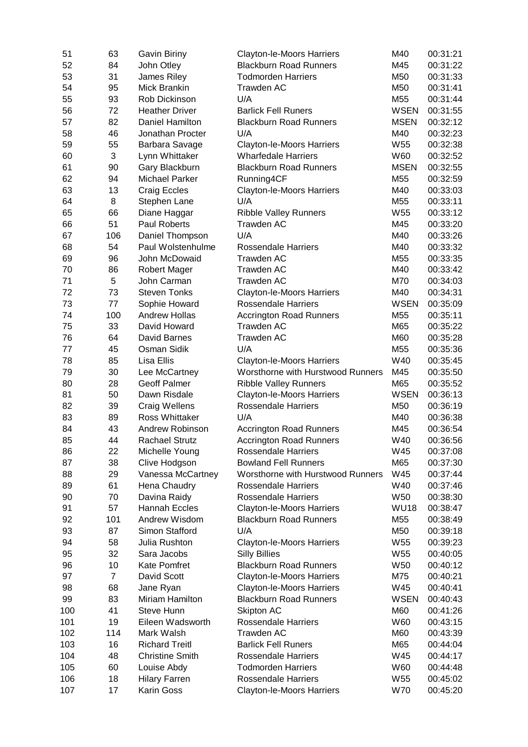| 51  | 63             | Gavin Biriny           | Clayton-le-Moors Harriers                         | M40             | 00:31:21 |
|-----|----------------|------------------------|---------------------------------------------------|-----------------|----------|
| 52  | 84             | John Otley             | <b>Blackburn Road Runners</b>                     | M45             | 00:31:22 |
| 53  | 31             | James Riley            | <b>Todmorden Harriers</b>                         | M50             | 00:31:33 |
| 54  | 95             | Mick Brankin           | <b>Trawden AC</b>                                 | M50             | 00:31:41 |
| 55  | 93             | Rob Dickinson          | U/A                                               | M55             | 00:31:44 |
| 56  | 72             | <b>Heather Driver</b>  | <b>Barlick Fell Runers</b>                        | <b>WSEN</b>     | 00:31:55 |
| 57  | 82             | Daniel Hamilton        | <b>Blackburn Road Runners</b>                     | <b>MSEN</b>     | 00:32:12 |
| 58  | 46             | Jonathan Procter       | U/A                                               | M40             | 00:32:23 |
| 59  | 55             | Barbara Savage         | Clayton-le-Moors Harriers                         | W55             | 00:32:38 |
| 60  | 3              | Lynn Whittaker         | <b>Wharfedale Harriers</b>                        | W60             | 00:32:52 |
| 61  | 90             | Gary Blackburn         | <b>Blackburn Road Runners</b>                     | <b>MSEN</b>     | 00:32:55 |
| 62  | 94             | <b>Michael Parker</b>  | Running4CF                                        | M55             | 00:32:59 |
| 63  | 13             | Craig Eccles           | Clayton-le-Moors Harriers                         | M40             | 00:33:03 |
| 64  | 8              | Stephen Lane           | U/A                                               | M55             | 00:33:11 |
| 65  | 66             | Diane Haggar           |                                                   | W <sub>55</sub> | 00:33:12 |
| 66  | 51             | Paul Roberts           | <b>Ribble Valley Runners</b><br><b>Trawden AC</b> | M45             |          |
|     |                |                        |                                                   |                 | 00:33:20 |
| 67  | 106            | Daniel Thompson        | U/A                                               | M40             | 00:33:26 |
| 68  | 54             | Paul Wolstenhulme      | Rossendale Harriers                               | M40             | 00:33:32 |
| 69  | 96             | John McDowaid          | <b>Trawden AC</b>                                 | M55             | 00:33:35 |
| 70  | 86             | <b>Robert Mager</b>    | Trawden AC                                        | M40             | 00:33:42 |
| 71  | 5              | John Carman            | <b>Trawden AC</b>                                 | M70             | 00:34:03 |
| 72  | 73             | <b>Steven Tonks</b>    | Clayton-le-Moors Harriers                         | M40             | 00:34:31 |
| 73  | 77             | Sophie Howard          | <b>Rossendale Harriers</b>                        | <b>WSEN</b>     | 00:35:09 |
| 74  | 100            | <b>Andrew Hollas</b>   | <b>Accrington Road Runners</b>                    | M55             | 00:35:11 |
| 75  | 33             | David Howard           | <b>Trawden AC</b>                                 | M65             | 00:35:22 |
| 76  | 64             | David Barnes           | <b>Trawden AC</b>                                 | M60             | 00:35:28 |
| 77  | 45             | Osman Sidik            | U/A                                               | M55             | 00:35:36 |
| 78  | 85             | Lisa Ellis             | Clayton-le-Moors Harriers                         | W40             | 00:35:45 |
| 79  | 30             | Lee McCartney          | Worsthorne with Hurstwood Runners                 | M45             | 00:35:50 |
| 80  | 28             | <b>Geoff Palmer</b>    | <b>Ribble Valley Runners</b>                      | M65             | 00:35:52 |
| 81  | 50             | Dawn Risdale           | Clayton-le-Moors Harriers                         | <b>WSEN</b>     | 00:36:13 |
| 82  | 39             | Craig Wellens          | <b>Rossendale Harriers</b>                        | M50             | 00:36:19 |
| 83  | 89             | <b>Ross Whittaker</b>  | U/A                                               | M40             | 00:36:38 |
| 84  | 43             | Andrew Robinson        | <b>Accrington Road Runners</b>                    | M45             | 00:36:54 |
| 85  | 44             | <b>Rachael Strutz</b>  | <b>Accrington Road Runners</b>                    | W40             | 00:36:56 |
| 86  | 22             | Michelle Young         | Rossendale Harriers                               | W45             | 00:37:08 |
| 87  | 38             | Clive Hodgson          | <b>Bowland Fell Runners</b>                       | M65             | 00:37:30 |
| 88  | 29             | Vanessa McCartney      | Worsthorne with Hurstwood Runners                 | W45             | 00:37:44 |
| 89  | 61             | Hena Chaudry           | <b>Rossendale Harriers</b>                        | W40             | 00:37:46 |
| 90  | 70             | Davina Raidy           | <b>Rossendale Harriers</b>                        | W50             | 00:38:30 |
| 91  | 57             | Hannah Eccles          | Clayton-le-Moors Harriers                         | <b>WU18</b>     | 00:38:47 |
| 92  | 101            | Andrew Wisdom          | <b>Blackburn Road Runners</b>                     | M55             | 00:38:49 |
| 93  | 87             | Simon Stafford         | U/A                                               | M50             | 00:39:18 |
| 94  | 58             | Julia Rushton          |                                                   | W <sub>55</sub> | 00:39:23 |
|     |                |                        | Clayton-le-Moors Harriers                         |                 |          |
| 95  | 32             | Sara Jacobs            | <b>Silly Billies</b>                              | W <sub>55</sub> | 00:40:05 |
| 96  | 10             | Kate Pomfret           | <b>Blackburn Road Runners</b>                     | W50             | 00:40:12 |
| 97  | $\overline{7}$ | David Scott            | Clayton-le-Moors Harriers                         | M75             | 00:40:21 |
| 98  | 68             | Jane Ryan              | Clayton-le-Moors Harriers                         | W45             | 00:40:41 |
| 99  | 83             | Miriam Hamilton        | <b>Blackburn Road Runners</b>                     | <b>WSEN</b>     | 00:40:43 |
| 100 | 41             | Steve Hunn             | Skipton AC                                        | M60             | 00:41:26 |
| 101 | 19             | Eileen Wadsworth       | <b>Rossendale Harriers</b>                        | W60             | 00:43:15 |
| 102 | 114            | Mark Walsh             | <b>Trawden AC</b>                                 | M60             | 00:43:39 |
| 103 | 16             | <b>Richard Treitl</b>  | <b>Barlick Fell Runers</b>                        | M65             | 00:44:04 |
| 104 | 48             | <b>Christine Smith</b> | <b>Rossendale Harriers</b>                        | W45             | 00:44:17 |
| 105 | 60             | Louise Abdy            | <b>Todmorden Harriers</b>                         | W60             | 00:44:48 |
| 106 | 18             | <b>Hilary Farren</b>   | <b>Rossendale Harriers</b>                        | W55             | 00:45:02 |
| 107 | 17             | Karin Goss             | Clayton-le-Moors Harriers                         | W70             | 00:45:20 |